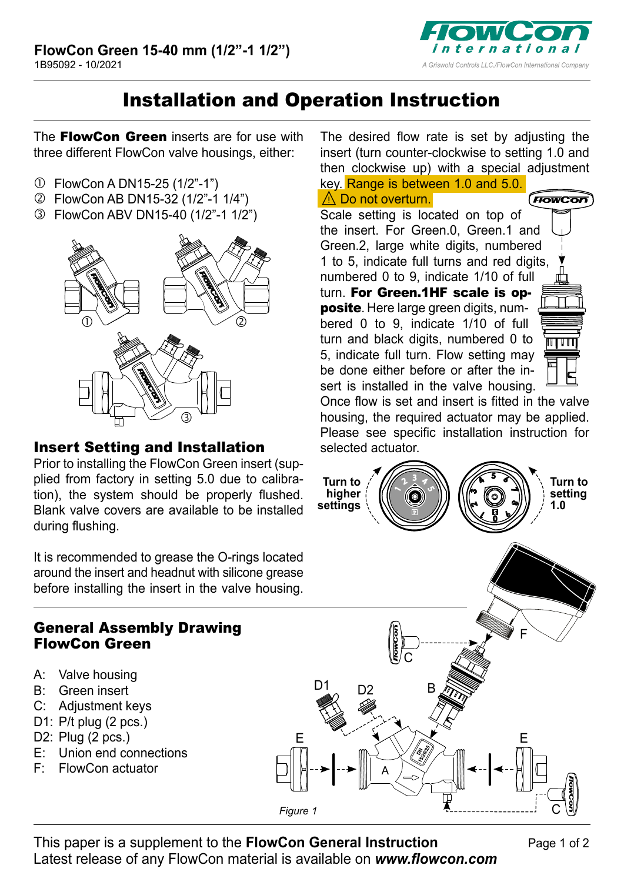

## Installation and Operation Instruction

The FlowCon Green inserts are for use with three different FlowCon valve housings, either:

- FlowCon A DN15-25 (1/2"-1")
- FlowCon AB DN15-32 (1/2"-1 1/4")
- FlowCon ABV DN15-40 (1/2"-1 1/2")



## Insert Setting and Installation

Prior to installing the FlowCon Green insert (supplied from factory in setting 5.0 due to calibration), the system should be properly flushed. Blank valve covers are available to be installed during flushing.

It is recommended to grease the O-rings located around the insert and headnut with silicone grease before installing the insert in the valve housing.

## General Assembly Drawing FlowCon Green

- A: Valve housing
- B: Green insert
- C: Adjustment keys
- D1: P/t plug (2 pcs.)
- D2: Plug (2 pcs.)
- E: Union end connections
- F: FlowCon actuator

The desired flow rate is set by adjusting the insert (turn counter-clockwise to setting 1.0 and then clockwise up) with a special adjustment key. Range is between 1.0 and 5.0.

⚠Do not overturn. FrowCor Scale setting is located on top of the insert. For Green.0, Green.1 and Green.2, large white digits, numbered 1 to 5, indicate full turns and red digits, numbered 0 to 9, indicate 1/10 of full turn. For Green.1HF scale is opposite. Here large green digits, numbered 0 to 9, indicate 1/10 of full turn and black digits, numbered 0 to 5, indicate full turn. Flow setting may be done either before or after the insert is installed in the valve housing.

Once flow is set and insert is fitted in the valve housing, the required actuator may be applied. Please see specific installation instruction for selected actuator.



This paper is a supplement to the **FlowCon General Instruction**  Latest release of any FlowCon material is available on *[www.flowcon.com](http://www.flowcon.com)*